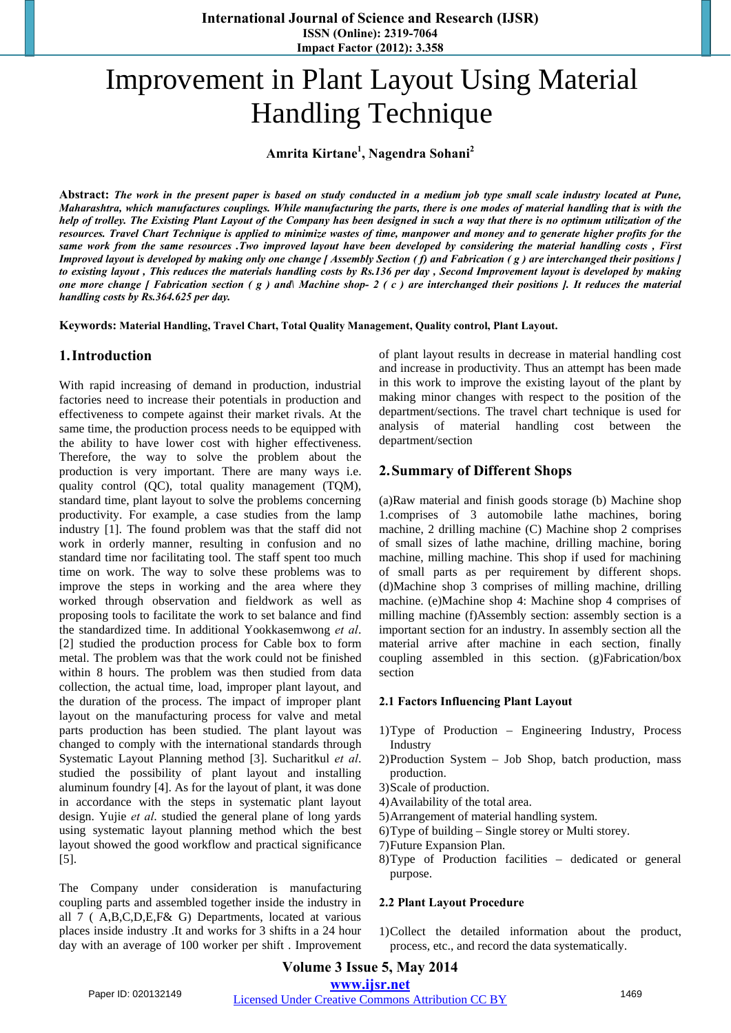# Improvement in Plant Layout Using Material Handling Technique

**Amrita Kirtane1 , Nagendra Sohani<sup>2</sup>**

**Abstract:** *The work in the present paper is based on study conducted in a medium job type small scale industry located at Pune, Maharashtra, which manufactures couplings. While manufacturing the parts, there is one modes of material handling that is with the help of trolley. The Existing Plant Layout of the Company has been designed in such a way that there is no optimum utilization of the resources. Travel Chart Technique is applied to minimize wastes of time, manpower and money and to generate higher profits for the same work from the same resources .Two improved layout have been developed by considering the material handling costs , First Improved layout is developed by making only one change [ Assembly Section ( f) and Fabrication ( g ) are interchanged their positions ] to existing layout , This reduces the materials handling costs by Rs.136 per day , Second Improvement layout is developed by making one more change [ Fabrication section ( g ) and\ Machine shop- 2 ( c ) are interchanged their positions ]. It reduces the material handling costs by Rs.364.625 per day.* 

**Keywords: Material Handling, Travel Chart, Total Quality Management, Quality control, Plant Layout.**

## **1.Introduction**

With rapid increasing of demand in production, industrial factories need to increase their potentials in production and effectiveness to compete against their market rivals. At the same time, the production process needs to be equipped with the ability to have lower cost with higher effectiveness. Therefore, the way to solve the problem about the production is very important. There are many ways i.e. quality control (QC), total quality management (TQM), standard time, plant layout to solve the problems concerning productivity. For example, a case studies from the lamp industry [1]. The found problem was that the staff did not work in orderly manner, resulting in confusion and no standard time nor facilitating tool. The staff spent too much time on work. The way to solve these problems was to improve the steps in working and the area where they worked through observation and fieldwork as well as proposing tools to facilitate the work to set balance and find the standardized time. In additional Yookkasemwong *et al*. [2] studied the production process for Cable box to form metal. The problem was that the work could not be finished within 8 hours. The problem was then studied from data collection, the actual time, load, improper plant layout, and the duration of the process. The impact of improper plant layout on the manufacturing process for valve and metal parts production has been studied. The plant layout was changed to comply with the international standards through Systematic Layout Planning method [3]. Sucharitkul *et al*. studied the possibility of plant layout and installing aluminum foundry [4]. As for the layout of plant, it was done in accordance with the steps in systematic plant layout design. Yujie *et al*. studied the general plane of long yards using systematic layout planning method which the best layout showed the good workflow and practical significance [5].

The Company under consideration is manufacturing coupling parts and assembled together inside the industry in all 7 ( A,B,C,D,E,F& G) Departments, located at various places inside industry .It and works for 3 shifts in a 24 hour day with an average of 100 worker per shift . Improvement of plant layout results in decrease in material handling cost and increase in productivity. Thus an attempt has been made in this work to improve the existing layout of the plant by making minor changes with respect to the position of the department/sections. The travel chart technique is used for analysis of material handling cost between the department/section

## **2.Summary of Different Shops**

(a)Raw material and finish goods storage (b) Machine shop 1.comprises of 3 automobile lathe machines, boring machine, 2 drilling machine (C) Machine shop 2 comprises of small sizes of lathe machine, drilling machine, boring machine, milling machine. This shop if used for machining of small parts as per requirement by different shops. (d)Machine shop 3 comprises of milling machine, drilling machine. (e)Machine shop 4: Machine shop 4 comprises of milling machine (f)Assembly section: assembly section is a important section for an industry. In assembly section all the material arrive after machine in each section, finally coupling assembled in this section. (g)Fabrication/box section

## **2.1 Factors Influencing Plant Layout**

- 1)Type of Production Engineering Industry, Process Industry
- 2)Production System Job Shop, batch production, mass production.
- 3)Scale of production.
- 4)Availability of the total area.
- 5)Arrangement of material handling system.
- 6)Type of building Single storey or Multi storey.
- 7)Future Expansion Plan.
- 8)Type of Production facilities dedicated or general purpose.

## **2.2 Plant Layout Procedure**

1)Collect the detailed information about the product, process, etc., and record the data systematically.

## **Volume 3 Issue 5, May 2014 www.ijsr.net**

Paper ID: 020132149 Licensed Under Creative Commons Attribution CC BY 1469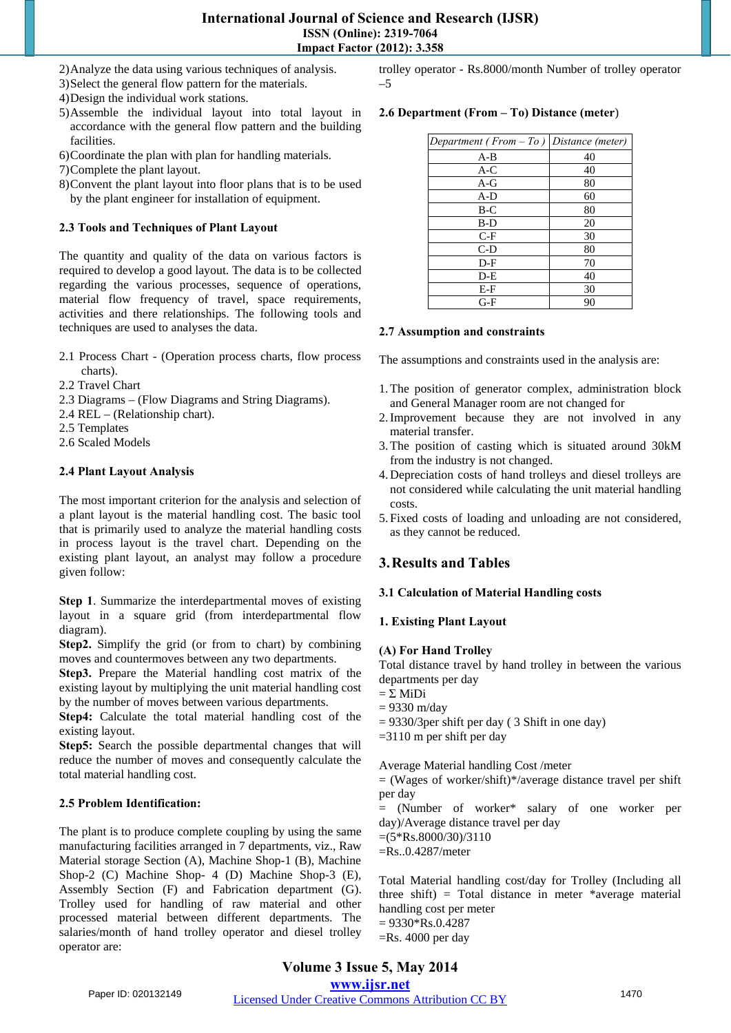## **International Journal of Science and Research (IJSR) ISSN (Online): 2319-7064 Impact Factor (2012): 3.358**

2)Analyze the data using various techniques of analysis.

- 3)Select the general flow pattern for the materials.
- 4)Design the individual work stations.
- 5)Assemble the individual layout into total layout in accordance with the general flow pattern and the building facilities.
- 6)Coordinate the plan with plan for handling materials.

7)Complete the plant layout.

8)Convent the plant layout into floor plans that is to be used by the plant engineer for installation of equipment.

## **2.3 Tools and Techniques of Plant Layout**

The quantity and quality of the data on various factors is required to develop a good layout. The data is to be collected regarding the various processes, sequence of operations, material flow frequency of travel, space requirements, activities and there relationships. The following tools and techniques are used to analyses the data.

- 2.1 Process Chart (Operation process charts, flow process charts).
- 2.2 Travel Chart
- 2.3 Diagrams (Flow Diagrams and String Diagrams).
- 2.4 REL (Relationship chart).
- 2.5 Templates
- 2.6 Scaled Models

## **2.4 Plant Layout Analysis**

The most important criterion for the analysis and selection of a plant layout is the material handling cost. The basic tool that is primarily used to analyze the material handling costs in process layout is the travel chart. Depending on the existing plant layout, an analyst may follow a procedure given follow:

**Step 1**. Summarize the interdepartmental moves of existing layout in a square grid (from interdepartmental flow diagram).

**Step2.** Simplify the grid (or from to chart) by combining moves and countermoves between any two departments.

**Step3.** Prepare the Material handling cost matrix of the existing layout by multiplying the unit material handling cost by the number of moves between various departments.

**Step4:** Calculate the total material handling cost of the existing layout.

**Step5:** Search the possible departmental changes that will reduce the number of moves and consequently calculate the total material handling cost.

## **2.5 Problem Identification:**

The plant is to produce complete coupling by using the same manufacturing facilities arranged in 7 departments, viz., Raw Material storage Section (A), Machine Shop-1 (B), Machine Shop-2 (C) Machine Shop- 4 (D) Machine Shop-3 (E), Assembly Section (F) and Fabrication department (G). Trolley used for handling of raw material and other processed material between different departments. The salaries/month of hand trolley operator and diesel trolley operator are:

trolley operator - Rs.8000/month Number of trolley operator –5

## **2.6 Department (From – To) Distance (meter**)

| Department (From $-$ To ) Distance (meter) |    |
|--------------------------------------------|----|
| $A-B$                                      | 40 |
| $A-C$                                      | 40 |
| A-G                                        | 80 |
| $A-D$                                      | 60 |
| $B-C$                                      | 80 |
| B-D                                        | 20 |
| $C-F$                                      | 30 |
| $C-D$                                      | 80 |
| $D-F$                                      | 70 |
| $D-E$                                      | 40 |
| E-F                                        | 30 |
| $G-F$                                      | 90 |

## **2.7 Assumption and constraints**

The assumptions and constraints used in the analysis are:

- 1.The position of generator complex, administration block and General Manager room are not changed for
- 2.Improvement because they are not involved in any material transfer.
- 3.The position of casting which is situated around 30kM from the industry is not changed.
- 4. Depreciation costs of hand trolleys and diesel trolleys are not considered while calculating the unit material handling costs.
- 5. Fixed costs of loading and unloading are not considered, as they cannot be reduced.

## **3.Results and Tables**

## **3.1 Calculation of Material Handling costs**

## **1. Existing Plant Layout**

## **(A) For Hand Trolley**

Total distance travel by hand trolley in between the various departments per day

- $=$  Σ MiDi
- $= 9330$  m/day
- $= 9330/3$  per shift per day ( 3 Shift in one day)
- =3110 m per shift per day

Average Material handling Cost /meter

 $=$  (Wages of worker/shift)\*/average distance travel per shift per day

= (Number of worker\* salary of one worker per day)/Average distance travel per day

 $=(5*Rs.8000/30)/3110$ 

=Rs..0.4287/meter

Total Material handling cost/day for Trolley (Including all three shift) = Total distance in meter  $*$ average material handling cost per meter  $= 9330*Rs.0.4287$ 

=Rs. 4000 per day

Paper ID: 020132149 Licensed Under Creative Commons Attribution CC BY 1470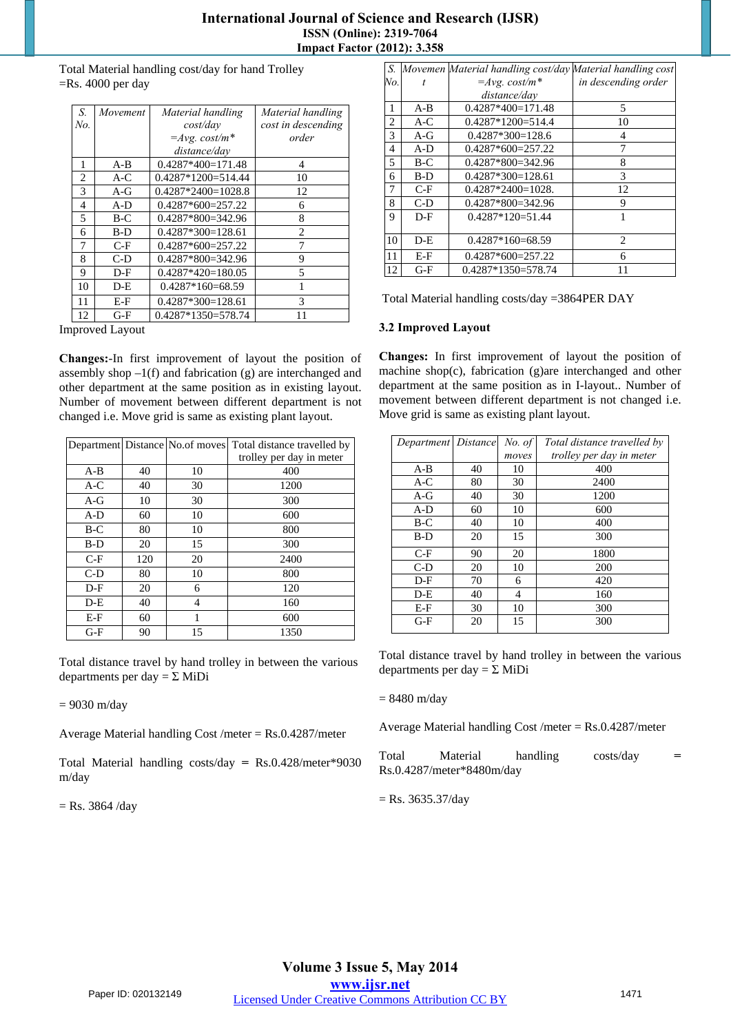## **International Journal of Science and Research (IJSR) ISSN (Online): 2319-7064 Impact Factor (2012): 3.358**

Total Material handling cost/day for hand Trolley =Rs. 4000 per day

| S.  | Movement | Material handling    | Material handling  |
|-----|----------|----------------------|--------------------|
| No. |          | cost/day             | cost in descending |
|     |          | $=$ Avg. cost/m*     | order              |
|     |          | distance/dav         |                    |
| 1   | A-B      | $0.4287*400=171.48$  | 4                  |
| 2   | $A-C$    | $0.4287*1200=514.44$ | 10                 |
| 3   | $A-G$    | $0.4287*2400=1028.8$ | 12                 |
| 4   | $A-D$    | $0.4287*600=257.22$  | 6                  |
| 5   | B-C      | $0.4287*800=342.96$  | 8                  |
| 6   | $B-D$    | $0.4287*300=128.61$  | $\overline{c}$     |
| 7   | $C-F$    | $0.4287*600=257.22$  | 7                  |
| 8   | C-D      | $0.4287*800=342.96$  | 9                  |
| 9   | $D-F$    | $0.4287*420=180.05$  | 5                  |
| 10  | D-E      | $0.4287*160=68.59$   | 1                  |
| 11  | E-F      | $0.4287*300=128.61$  | 3                  |
| 12  | G-F      | $0.4287*1350=578.74$ | 11                 |

Improved Layout

**Changes:**-In first improvement of layout the position of assembly shop  $-1(f)$  and fabrication (g) are interchanged and other department at the same position as in existing layout. Number of movement between different department is not changed i.e. Move grid is same as existing plant layout.

|       |     |    | Department Distance No.of moves Total distance travelled by |
|-------|-----|----|-------------------------------------------------------------|
|       |     |    | trolley per day in meter                                    |
| $A-B$ | 40  | 10 | 400                                                         |
| $A-C$ | 40  | 30 | 1200                                                        |
| $A-G$ | 10  | 30 | 300                                                         |
| $A-D$ | 60  | 10 | 600                                                         |
| $B-C$ | 80  | 10 | 800                                                         |
| $B-D$ | 20  | 15 | 300                                                         |
| $C-F$ | 120 | 20 | 2400                                                        |
| $C-D$ | 80  | 10 | 800                                                         |
| $D-F$ | 20  | 6  | 120                                                         |
| $D-E$ | 40  | 4  | 160                                                         |
| $E-F$ | 60  | 1  | 600                                                         |
| $G-F$ | 90  | 15 | 1350                                                        |

Total distance travel by hand trolley in between the various departments per day =  $\Sigma$  MiDi

 $= 9030$  m/day

Average Material handling Cost /meter =  $Rs.0.4287/m$ eter

Total Material handling costs/day **=** Rs.0.428/meter\*9030 m/day

 $=$  Rs. 3864 /day

| S.  |       | Movemen Material handling cost/day Material handling cost |                     |
|-----|-------|-----------------------------------------------------------|---------------------|
| No. | t     | $=$ Avg. cost/m*                                          | in descending order |
|     |       | distance/day                                              |                     |
| 1   | $A-B$ | $0.4287*400=171.48$                                       | 5                   |
| 2   | $A-C$ | $0.4287*1200=514.4$                                       | 10                  |
| 3   | A-G   | $0.4287*300=128.6$                                        | 4                   |
| 4   | $A-D$ | $0.4287*600=257.22$                                       | 7                   |
| 5   | $B-C$ | $0.4287*800=342.96$                                       | 8                   |
| 6   | B-D   | $0.4287*300=128.61$                                       | 3                   |
| 7   | $C-F$ | $0.4287*2400=1028$ .                                      | 12                  |
| 8   | C-D   | $0.4287*800=342.96$                                       | 9                   |
| 9   | $D-F$ | $0.4287*120=51.44$                                        | 1                   |
| 10  | $D-E$ | $0.4287*160=68.59$                                        | 2                   |
| 11  | E-F   | $0.4287*600=257.22$                                       | 6                   |
| 12  | $G-F$ | $0.4287*1350=578.74$                                      | 11                  |

Total Material handling costs/day =3864PER DAY

## **3.2 Improved Layout**

**Changes:** In first improvement of layout the position of machine shop(c), fabrication (g)are interchanged and other department at the same position as in I-layout.. Number of movement between different department is not changed i.e. Move grid is same as existing plant layout.

| Department Distance |    | No. of | Total distance travelled by |
|---------------------|----|--------|-----------------------------|
|                     |    | moves  | trolley per day in meter    |
| $A-B$               | 40 | 10     | 400                         |
| $A-C$               | 80 | 30     | 2400                        |
| $A-G$               | 40 | 30     | 1200                        |
| $A-D$               | 60 | 10     | 600                         |
| $B-C$               | 40 | 10     | 400                         |
| $B-D$               | 20 | 15     | 300                         |
| $C-F$               | 90 | 20     | 1800                        |
| $C-D$               | 20 | 10     | 200                         |
| $D-F$               | 70 | 6      | 420                         |
| $D-E$               | 40 | 4      | 160                         |
| E-F                 | 30 | 10     | 300                         |
| $G-F$               | 20 | 15     | 300                         |

Total distance travel by hand trolley in between the various departments per day =  $\Sigma$  MiDi

## $= 8480$  m/day

Average Material handling Cost /meter = Rs.0.4287/meter

Total Material handling costs/day Rs.0.4287/meter\*8480m/day

 $=$  Rs. 3635.37/day